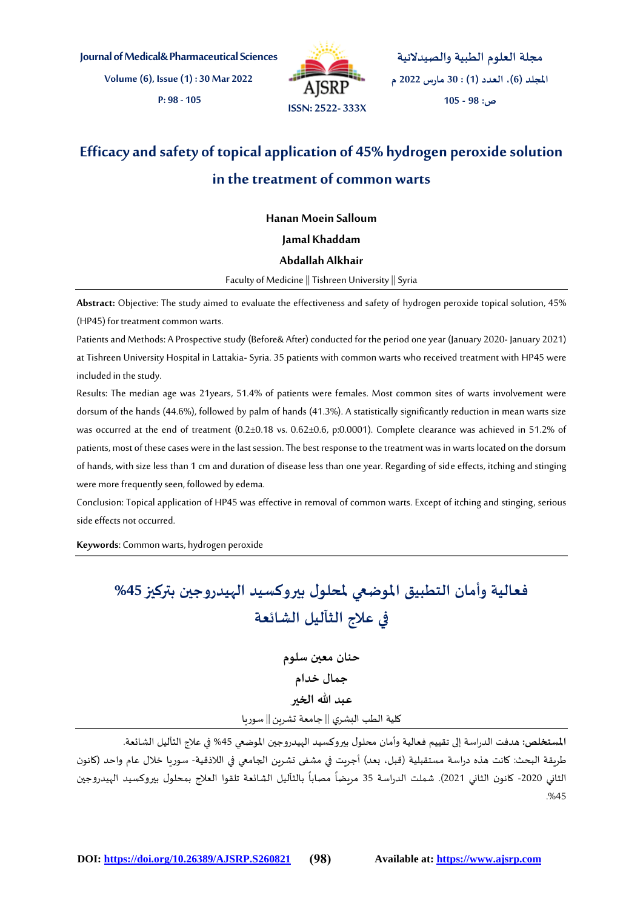**Journal of Medical&Pharmaceutical Sciences**

**Volume(6), Issue(1) : 30 Mar 2022**

**P: 98 - 105**



**مجلة العلوم الطبية والصيدالنية املجلد )6(، العدد )1( : 30 مارس 2022 م ص: 98 - 105**

# **Efficacy and safety of topical application of 45% hydrogen peroxide solution in the treatment of common warts**

**Hanan Moein Salloum**

## **Jamal Khaddam**

## **Abdallah Alkhair**

Faculty of Medicine || Tishreen University || Syria

**Abstract:** Objective: The study aimed to evaluate the effectiveness and safety of hydrogen peroxide topical solution, 45% (HP45) for treatment common warts.

Patients and Methods: A Prospective study (Before& After) conducted for the period one year (January 2020- January 2021) at Tishreen University Hospital in Lattakia-Syria. 35 patients with common warts who received treatment with HP45 were included in the study.

Results: The median age was 21years, 51.4% of patients were females. Most common sites of warts involvement were dorsum of the hands (44.6%), followed by palm of hands (41.3%). A statistically significantly reduction in mean warts size was occurred at the end of treatment (0.2±0.18 vs. 0.62±0.6, p:0.0001). Complete clearance was achieved in 51.2% of patients, most of these cases were in the last session. The best response to the treatment was in warts located on the dorsum of hands, with size less than 1 cm and duration of disease less than one year. Regarding of side effects, itching and stinging were more frequently seen, followed by edema.

Conclusion: Topical application of HP45 was effective in removal of common warts. Except of itching and stinging, serious side effects not occurred.

**Keywords**: Common warts, hydrogen peroxide

# **فعالية وأمان التطبيق املوضعي ملحلول بيروكسيد الهيدروجين بتركيز%45 في عالج الثآليل الشائعة**

**حنان معين سلوم جمال خدام عبد هللا الخير** كلية الطب البشري || جامعة تشرين || سوريا

**املستخلص:** هدفت الدراسة إلى تقييم فعالية وأمان محلول بيروكسيد الهيدروجين املوضعي %45 في عالج الثآليل الشائعة. طريقة البحث: كانت هذه دراسة مستقبلية (قبل، بعد) أجريت في مشفى تشرين الجامعي في اللاذقية- سوريا خلال عام واحد (كانون الثاني 2020- كانون الثاني 2021). شملت الدراسة 35 مربضاً مصاباً بالثآليل الشائعة تلقوا العلاج بمحلول بيروكسيد الهيدروجين ً<br>أ ً<br>أ .%45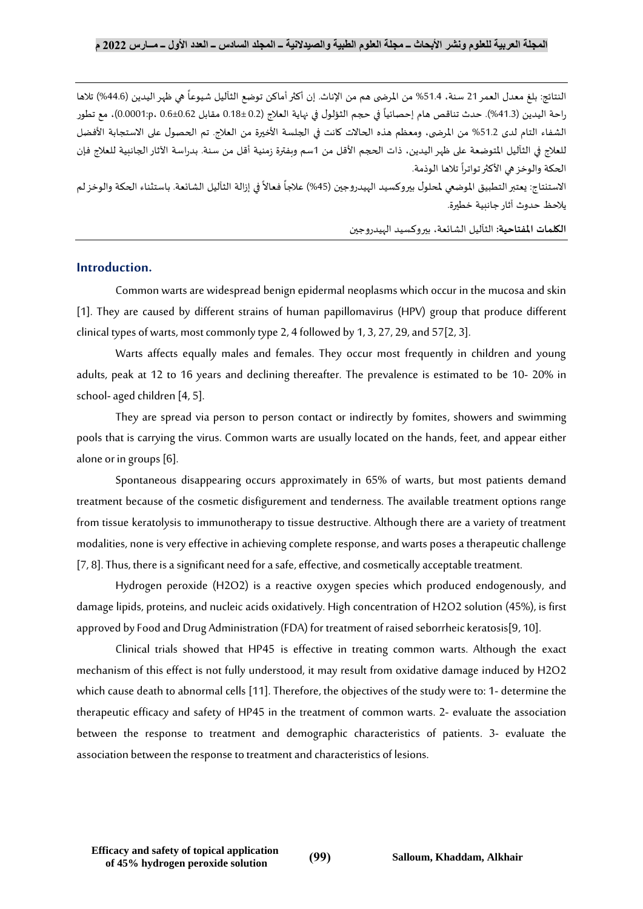النتائج: بلغ معدل العمر 21 سنة، 51.4% من المرضى هم من الإناث. إن أكثر أماكن توضع الثآليل شيوعاً هي ظهر اليدين (44.6%) تلاها -<br>أ راحة اليدين (41.3%). حدث تناقص هام إحصائياً في حجم الثؤلول في نهاية العلاج (0.2 ±0.18 مقابل 0.6±0.61 ،0.0001:p، مع تطور ً الشفاء التام لدى 51.2% من المرضى، ومعظم هذه الحالات كانت في الجلسة الأخيرة من العلاج. تم الحصول على الاستجابة الأفضل للعلاج في الثآليل المتوضعة على ظهر اليدين، ذات الحجم الأقل من 1سم وبفترة زمنية أقل من سنة. بدراسة الآثار الجانبية للعلاج فإن الحكة والوخز هي الأكثر تواتراً تلاها الوذمة. ٍ<br>آ

الاستنتاج: يعتبر التطبيق الموضعي لمحلول بيروكسيد الهيدروجين (45%) علاجاً فعالاً في إزالة الثآليل الشائعة. باستثناء الحكة والوخز لم ً ً<br>أ يالحظ حدوث آثار جانبية خطيرة.

**الكلمات املفتاحية:** الثآليل الشائعة، بيروكسيد الهيدروجين

# **Introduction.**

Common warts are widespread benign epidermal neoplasms which occur in the mucosa and skin [1]. They are caused by different strains of human papillomavirus (HPV) group that produce different clinical types of warts, most commonly type 2, 4 followed by 1, 3, 27, 29, and 57[2, 3].

Warts affects equally males and females. They occur most frequently in children and young adults, peak at 12 to 16 years and declining thereafter. The prevalence is estimated to be 10- 20% in school-aged children [4, 5].

They are spread via person to person contact or indirectly by fomites, showers and swimming pools that is carrying the virus. Common warts are usually located on the hands, feet, and appear either alone or in groups [6].

Spontaneous disappearing occurs approximately in 65% of warts, but most patients demand treatment because of the cosmetic disfigurement and tenderness. The available treatment options range from tissue keratolysis to immunotherapy to tissue destructive. Although there are a variety of treatment modalities, none is very effective in achieving complete response, and warts poses a therapeutic challenge [7, 8]. Thus, there is a significant need for a safe, effective, and cosmetically acceptable treatment.

Hydrogen peroxide (H2O2) is a reactive oxygen species which produced endogenously, and damage lipids, proteins, and nucleic acids oxidatively. High concentration of H2O2 solution (45%), is first approved by Food and Drug Administration (FDA) for treatment of raised seborrheic keratosis[9, 10].

Clinical trials showed that HP45 is effective in treating common warts. Although the exact mechanism of this effect is not fully understood, it may result from oxidative damage induced by H2O2 which cause death to abnormal cells [11]. Therefore, the objectives of the study were to: 1- determine the therapeutic efficacy and safety of HP45 in the treatment of common warts. 2- evaluate the association between the response to treatment and demographic characteristics of patients. 3- evaluate the association between the response to treatment and characteristics of lesions.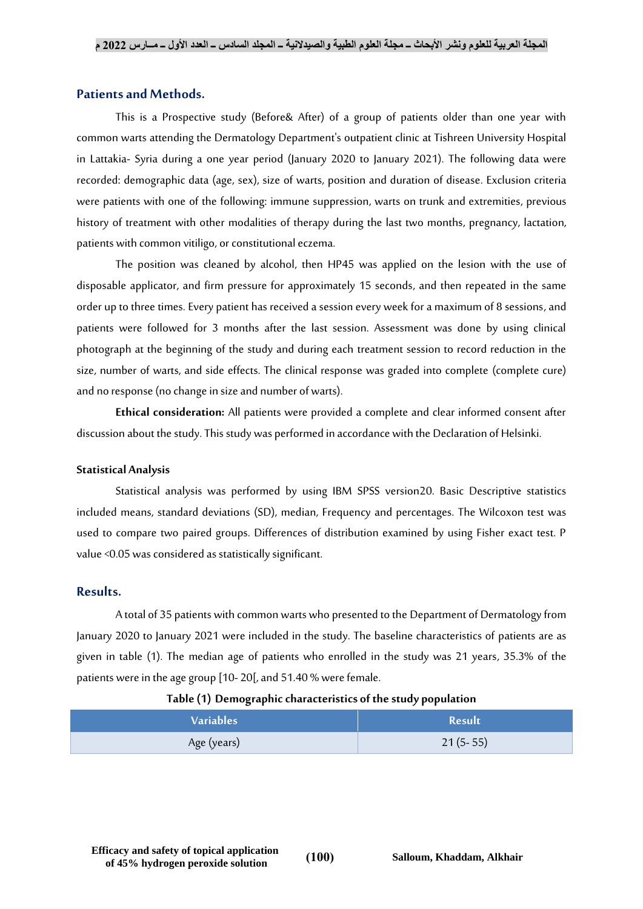## **Patients and Methods.**

This is a Prospective study (Before& After) of a group of patients older than one year with common warts attending the Dermatology Department's outpatient clinic at Tishreen University Hospital in Lattakia- Syria during a one year period (January 2020 to January 2021). The following data were recorded: demographic data (age, sex), size of warts, position and duration of disease. Exclusion criteria were patients with one of the following: immune suppression, warts on trunk and extremities, previous history of treatment with other modalities of therapy during the last two months, pregnancy, lactation, patients with common vitiligo, or constitutional eczema.

The position was cleaned by alcohol, then HP45 was applied on the lesion with the use of disposable applicator, and firm pressure for approximately 15 seconds, and then repeated in the same order up to three times. Every patient has received a session every week for a maximum of 8 sessions, and patients were followed for 3 months after the last session. Assessment was done by using clinical photograph at the beginning of the study and during each treatment session to record reduction in the size, number of warts, and side effects. The clinical response was graded into complete (complete cure) and no response(no change in size and number of warts).

**Ethical consideration:** All patients were provided a complete and clear informed consent after discussion about the study. This study was performed in accordance with the Declaration of Helsinki.

#### **Statistical Analysis**

Statistical analysis was performed by using IBM SPSS version20. Basic Descriptive statistics included means, standard deviations (SD), median, Frequency and percentages. The Wilcoxon test was used to compare two paired groups. Differences of distribution examined by using Fisher exact test. P value <0.05 was considered as statistically significant.

## **Results.**

A total of 35 patients with common warts who presented to the Department of Dermatology from January 2020 to January 2021 were included in the study. The baseline characteristics of patients are as given in table (1). The median age of patients who enrolled in the study was 21 years, 35.3% of the patients were in the age group [10- 20[, and 51.40 % were female.

#### **Table (1) Demographic characteristics of the study population**

| <b>Variables</b> | Result     |
|------------------|------------|
| Age (years)      | $21(5-55)$ |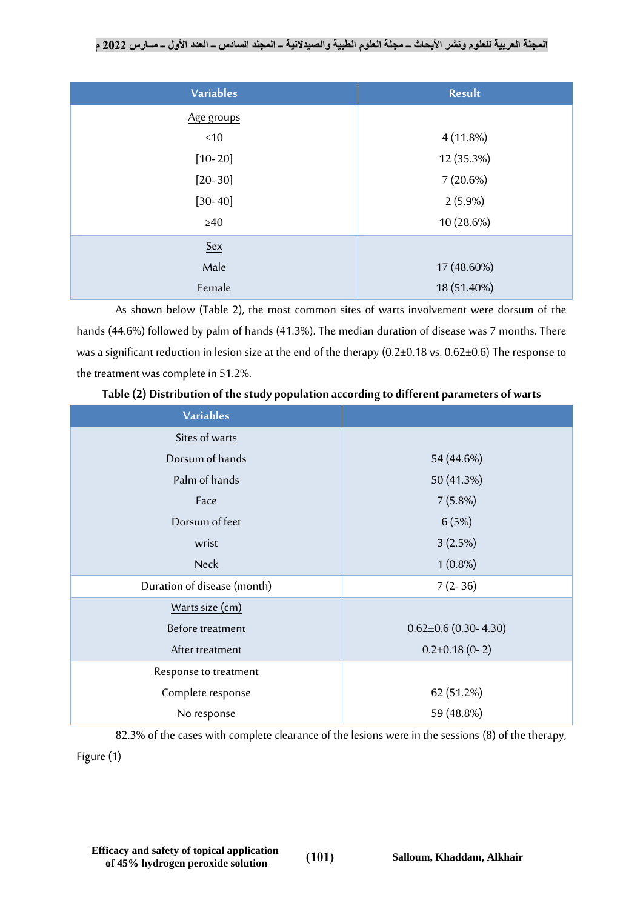# **المجلة العربية للعلوم ونشر األبحاث ــ مجلة العلوم الطبية والصيدالنية ــ المجلد السادس ــ العدد األول ــ مــارس 2022 م**

| <b>Variables</b> | Result      |  |  |
|------------------|-------------|--|--|
| Age groups       |             |  |  |
| < 10             | $4(11.8\%)$ |  |  |
| $[10 - 20]$      | 12 (35.3%)  |  |  |
| $[20-30]$        | 7(20.6%)    |  |  |
| $[30 - 40]$      | $2(5.9\%)$  |  |  |
| $\geq 40$        | 10 (28.6%)  |  |  |
| $Sex$            |             |  |  |
| Male             | 17 (48.60%) |  |  |
| Female           | 18 (51.40%) |  |  |

As shown below (Table 2), the most common sites of warts involvement were dorsum of the hands (44.6%) followed by palm of hands (41.3%). The median duration of disease was 7 months. There was a significant reduction in lesion size at the end of the therapy (0.2±0.18 vs. 0.62±0.6) The response to the treatment was complete in 51.2%.

| <b>Variables</b>            |                            |  |  |
|-----------------------------|----------------------------|--|--|
| Sites of warts              |                            |  |  |
| Dorsum of hands             | 54 (44.6%)                 |  |  |
| Palm of hands               | 50 (41.3%)                 |  |  |
| Face                        | $7(5.8\%)$                 |  |  |
| Dorsum of feet              | 6(5%)                      |  |  |
| wrist                       | 3(2.5%)                    |  |  |
| <b>Neck</b>                 | $1(0.8\%)$                 |  |  |
| Duration of disease (month) | $7(2-36)$                  |  |  |
| Warts size (cm)             |                            |  |  |
| Before treatment            | $0.62 \pm 0.6$ (0.30-4.30) |  |  |
| After treatment             | $0.2\pm0.18$ (0-2)         |  |  |
| Response to treatment       |                            |  |  |
| Complete response           | 62 (51.2%)                 |  |  |
| No response                 | 59 (48.8%)                 |  |  |

**Table (2) Distribution of the study population according to different parameters of warts**

82.3% of the cases with complete clearance of the lesions were in the sessions (8) of the therapy,

Figure(1)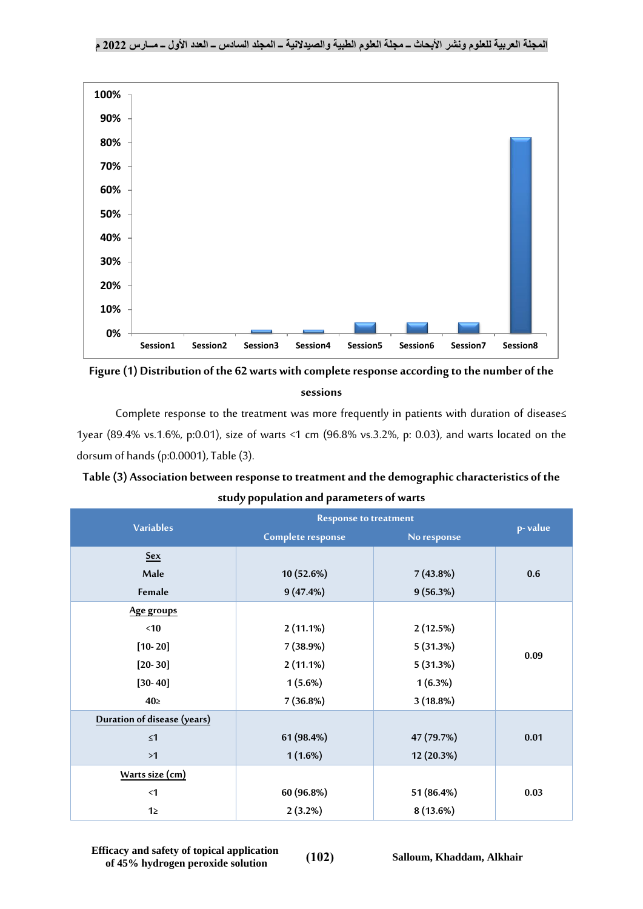

**Figure(1) Distribution of the 62 warts with complete response according to the number of the sessions**

Complete response to the treatment was more frequently in patients with duration of disease≤ 1year (89.4% vs.1.6%, p:0.01), size of warts <1 cm (96.8% vs.3.2%, p: 0.03), and warts located on the dorsum of hands (p:0.0001), Table(3).

**Table (3) Association between response to treatment and the demographic characteristics of the study population and parameters of warts**

| <b>Variables</b>            | <b>Response to treatment</b> |             |         |
|-----------------------------|------------------------------|-------------|---------|
|                             | Complete response            | No response | p-value |
| <b>Sex</b>                  |                              |             |         |
| Male                        | 10 (52.6%)                   | 7(43.8%)    | 0.6     |
| Female                      | 9(47.4%)                     | 9(56.3%)    |         |
| Age groups                  |                              |             |         |
| <10                         | $2(11.1\%)$                  | 2(12.5%)    |         |
| $[10 - 20]$                 | 7 (38.9%)                    | 5(31.3%)    | 0.09    |
| $[20-30]$                   | $2(11.1\%)$                  | 5(31.3%)    |         |
| $[30 - 40]$                 | $1(5.6\%)$                   | 1(6.3%)     |         |
| $40\square$                 | 7(36.8%)                     | 3(18.8%)    |         |
| Duration of disease (years) |                              |             |         |
| $\leq 1$                    | 61 (98.4%)                   | 47 (79.7%)  | 0.01    |
| >1                          | $1(1.6\%)$                   | 12 (20.3%)  |         |
| Warts size (cm)             |                              |             |         |
| $\leq$ 1                    | 60 (96.8%)                   | 51 (86.4%)  | 0.03    |
| 12                          | $2(3.2\%)$                   | 8(13.6%)    |         |

**Efficacy and safety of topical application of 45% hydrogen peroxide solution** (102) Salloum, Khaddam, Alkhair<br> **b** Salloum, Khaddam, Alkhair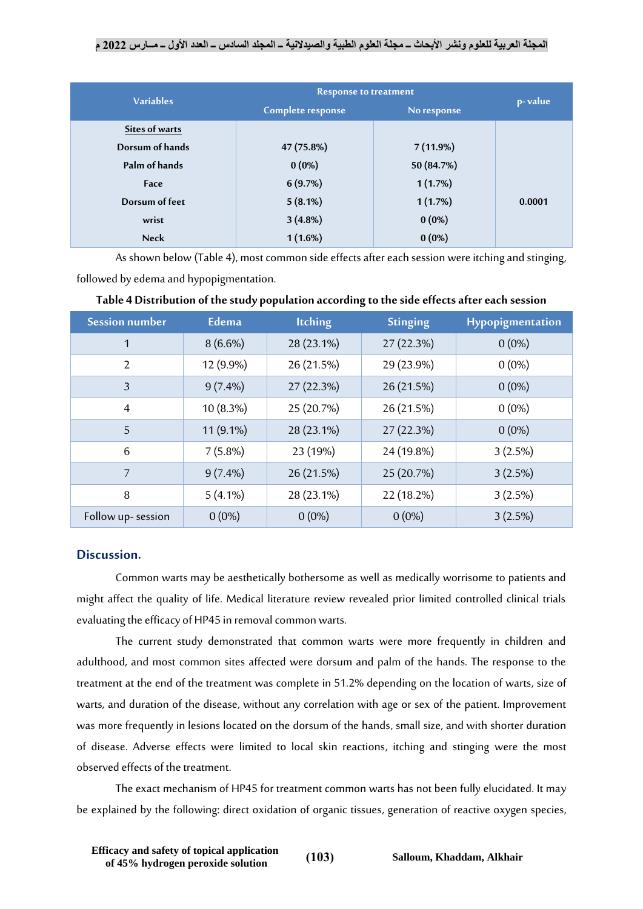# **المجلة العربية للعلوم ونشر األبحاث ــ مجلة العلوم الطبية والصيدالنية ــ المجلد السادس ــ العدد األول ــ مــارس 2022 م**

|                  | <b>Response to treatment</b> |             |         |
|------------------|------------------------------|-------------|---------|
| <b>Variables</b> | Complete response            | No response | p-value |
| Sites of warts   |                              |             |         |
| Dorsum of hands  | 47 (75.8%)                   | 7(11.9%)    |         |
| Palm of hands    | $0(0\%)$                     | 50 (84.7%)  |         |
| Face             | 6(9.7%)                      | 1(1.7%)     |         |
| Dorsum of feet   | $5(8.1\%)$                   | 1(1.7%)     | 0.0001  |
| wrist            | 3(4.8%)                      | $0(0\%)$    |         |
| <b>Neck</b>      | $1(1.6\%)$                   | $0(0\%)$    |         |

As shown below (Table 4), most common side effects after each session were itching and stinging, followed by edema and hypopigmentation.

| <b>Session number</b> | Edema      | <b>Itching</b> | <b>Stinging</b> | Hypopigmentation |
|-----------------------|------------|----------------|-----------------|------------------|
| $\mathbf{1}$          | $8(6.6\%)$ | 28 (23.1%)     | 27 (22.3%)      | $0(0\%)$         |
| $\overline{2}$        | 12 (9.9%)  | 26 (21.5%)     | 29 (23.9%)      | $0(0\%)$         |
| 3                     | $9(7.4\%)$ | 27 (22.3%)     | 26 (21.5%)      | $0(0\%)$         |
| $\overline{4}$        | 10(8.3%)   | 25 (20.7%)     | 26 (21.5%)      | $0(0\%)$         |
| 5                     | 11 (9.1%)  | 28 (23.1%)     | 27 (22.3%)      | $0(0\%)$         |
| 6                     | 7(5.8%)    | 23 (19%)       | 24 (19.8%)      | 3(2.5%)          |
| $\overline{7}$        | $9(7.4\%)$ | 26 (21.5%)     | 25 (20.7%)      | 3(2.5%)          |
| 8                     | $5(4.1\%)$ | 28 (23.1%)     | 22 (18.2%)      | 3(2.5%)          |
| Follow up-session     | $0(0\%)$   | $0(0\%)$       | $0(0\%)$        | 3(2.5%)          |

# **Table 4 Distribution of the study population according to the side effects after each session**

## **Discussion.**

Common warts may be aesthetically bothersome as well as medically worrisome to patients and might affect the quality of life. Medical literature review revealed prior limited controlled clinical trials evaluating the efficacy of HP45 in removal common warts.

The current study demonstrated that common warts were more frequently in children and adulthood, and most common sites affected were dorsum and palm of the hands. The response to the treatment at the end of the treatment was complete in 51.2% depending on the location of warts, size of warts, and duration of the disease, without any correlation with age or sex of the patient. Improvement was more frequently in lesions located on the dorsum of the hands, small size, and with shorter duration of disease. Adverse effects were limited to local skin reactions, itching and stinging were the most observed effects of the treatment.

The exact mechanism of HP45 for treatment common warts has not been fully elucidated. It may be explained by the following: direct oxidation of organic tissues, generation of reactive oxygen species,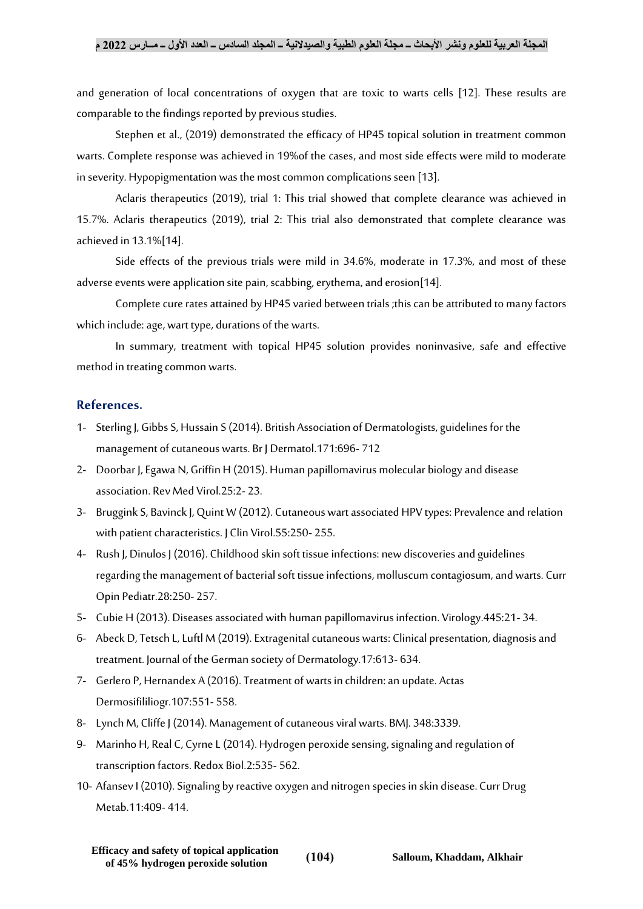### **المجلة العربية للعلوم ونشر األبحاث ــ مجلة العلوم الطبية والصيدالنية ــ المجلد السادس ــ العدد األول ــ مــارس 2022 م**

and generation of local concentrations of oxygen that are toxic to warts cells [12]. These results are comparable to the findings reported by previous studies.

Stephen et al., (2019) demonstrated the efficacy of HP45 topical solution in treatment common warts. Complete response was achieved in 19%of the cases, and most side effects were mild to moderate in severity. Hypopigmentation was the most common complications seen [13].

Aclaris therapeutics (2019), trial 1: This trial showed that complete clearance was achieved in 15.7%. Aclaris therapeutics (2019), trial 2: This trial also demonstrated that complete clearance was achieved in 13.1%[14].

Side effects of the previous trials were mild in 34.6%, moderate in 17.3%, and most of these adverse events were application site pain, scabbing, erythema, and erosion[14].

Complete cure rates attained by HP45 varied between trials ;this can be attributed to many factors which include: age, wart type, durations of the warts.

In summary, treatment with topical HP45 solution provides noninvasive, safe and effective method in treating common warts.

## **References.**

- 1- Sterling J, Gibbs S, Hussain S(2014). British Association of Dermatologists, guidelines for the management of cutaneous warts. Br J Dermatol.171:696- 712
- 2- Doorbar J, Egawa N, Griffin H (2015). Human papillomavirus molecular biology and disease association. Rev Med Virol.25:2- 23.
- 3- BrugginkS, Bavinck J, Quint W(2012). Cutaneous wart associated HPV types: Prevalence and relation with patient characteristics. J Clin Virol.55:250-255.
- 4- Rush J, Dinulos J (2016). Childhood skin soft tissue infections: new discoveries and guidelines regarding the management of bacterial soft tissue infections, molluscum contagiosum, and warts. Curr Opin Pediatr.28:250- 257.
- 5- Cubie H (2013). Diseases associated with human papillomavirus infection. Virology.445:21- 34.
- 6- Abeck D, Tetsch L, Luftl M(2019). Extragenital cutaneous warts: Clinical presentation, diagnosis and treatment. Journal of the German society of Dermatology.17:613- 634.
- 7- Gerlero P, Hernandex A (2016). Treatment of warts in children: an update. Actas Dermosifililiogr.107:551- 558.
- 8- Lynch M, Cliffe J (2014). Management of cutaneous viral warts. BMJ. 348:3339.
- 9- Marinho H, Real C, Cyrne L(2014). Hydrogen peroxide sensing, signaling and regulation of transcription factors. Redox Biol.2:535- 562.
- 10- Afansev I (2010).Signaling by reactive oxygen and nitrogen species in skin disease. Curr Drug Metab.11:409- 414.